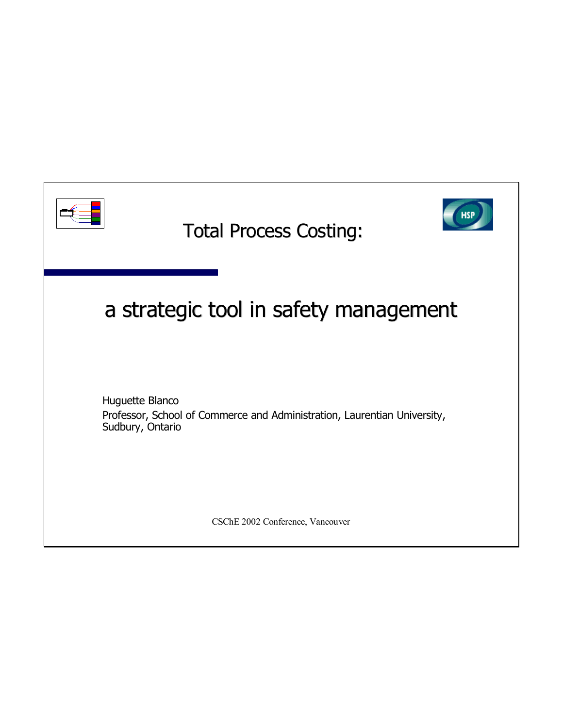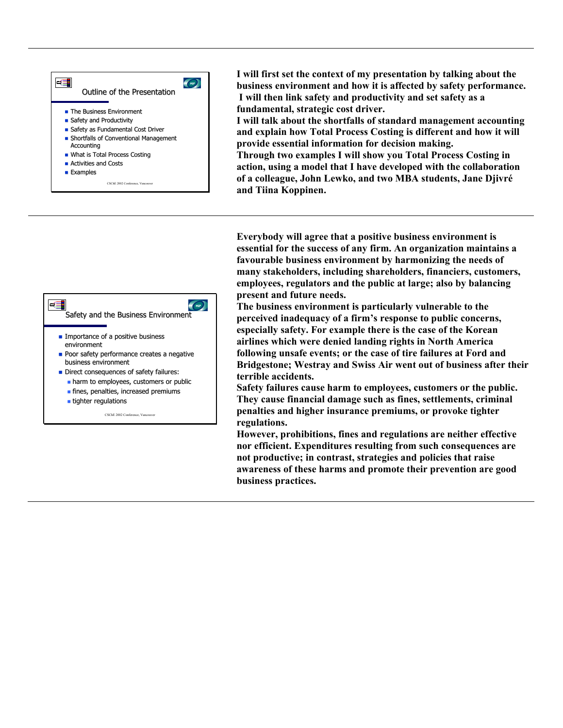

 $|\ll$  $\left( \mathbf{m} \right)$ Safety and the Business Environment  $\blacksquare$  Importance of a positive business environment Poor safety performance creates a negative business environment  $\blacksquare$  Direct consequences of safety failures:  $\blacksquare$  harm to employees, customers or public  $\blacksquare$  fines, penalties, increased premiums ■ tighter regulations CSChE 2002 Conference, Van

**I will first set the context of my presentation by talking about the business environment and how it is affected by safety performance. I will then link safety and productivity and set safety as a fundamental, strategic cost driver.** 

**I will talk about the shortfalls of standard management accounting and explain how Total Process Costing is different and how it will provide essential information for decision making.** 

**Through two examples I will show you Total Process Costing in action, using a model that I have developed with the collaboration of a colleague, John Lewko, and two MBA students, Jane Djivré and Tiina Koppinen.** 

**Everybody will agree that a positive business environment is essential for the success of any firm. An organization maintains a favourable business environment by harmonizing the needs of many stakeholders, including shareholders, financiers, customers, employees, regulators and the public at large; also by balancing present and future needs.** 

**The business environment is particularly vulnerable to the perceived inadequacy of a firm's response to public concerns, especially safety. For example there is the case of the Korean airlines which were denied landing rights in North America following unsafe events; or the case of tire failures at Ford and Bridgestone; Westray and Swiss Air went out of business after their terrible accidents.** 

**Safety failures cause harm to employees, customers or the public. They cause financial damage such as fines, settlements, criminal penalties and higher insurance premiums, or provoke tighter regulations.** 

**However, prohibitions, fines and regulations are neither effective nor efficient. Expenditures resulting from such consequences are not productive; in contrast, strategies and policies that raise awareness of these harms and promote their prevention are good business practices.**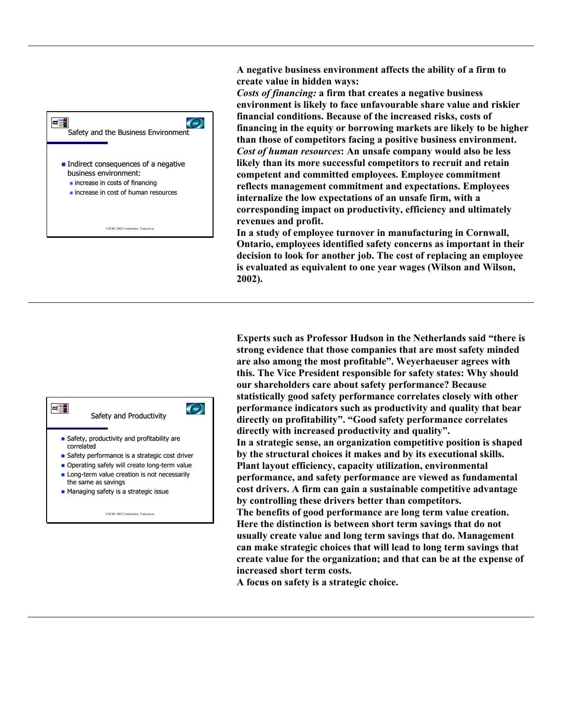

**A negative business environment affects the ability of a firm to create value in hidden ways:** 

*Costs of financing:* **a firm that creates a negative business environment is likely to face unfavourable share value and riskier financial conditions. Because of the increased risks, costs of financing in the equity or borrowing markets are likely to be higher than those of competitors facing a positive business environment.**  *Cost of human resources***: An unsafe company would also be less likely than its more successful competitors to recruit and retain competent and committed employees. Employee commitment reflects management commitment and expectations. Employees internalize the low expectations of an unsafe firm, with a corresponding impact on productivity, efficiency and ultimately revenues and profit.** 

**In a study of employee turnover in manufacturing in Cornwall, Ontario, employees identified safety concerns as important in their decision to look for another job. The cost of replacing an employee is evaluated as equivalent to one year wages (Wilson and Wilson, 2002).**



CSChE 2002 Conference, Van

**Experts such as Professor Hudson in the Netherlands said "there is strong evidence that those companies that are most safety minded are also among the most profitable". Weyerhaeuser agrees with this. The Vice President responsible for safety states: Why should our shareholders care about safety performance? Because statistically good safety performance correlates closely with other performance indicators such as productivity and quality that bear directly on profitability". "Good safety performance correlates directly with increased productivity and quality". In a strategic sense, an organization competitive position is shaped by the structural choices it makes and by its executional skills.** 

**Plant layout efficiency, capacity utilization, environmental performance, and safety performance are viewed as fundamental cost drivers. A firm can gain a sustainable competitive advantage by controlling these drivers better than competitors.** 

**The benefits of good performance are long term value creation. Here the distinction is between short term savings that do not usually create value and long term savings that do. Management can make strategic choices that will lead to long term savings that create value for the organization; and that can be at the expense of increased short term costs.** 

**A focus on safety is a strategic choice.**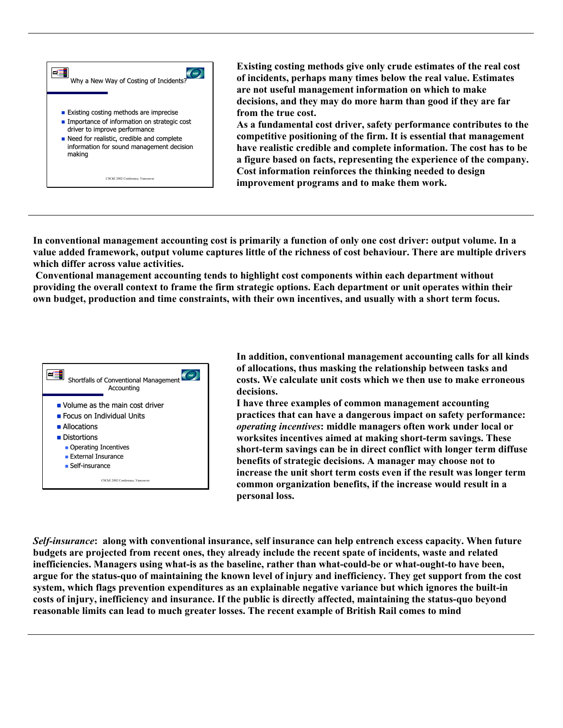

**Existing costing methods give only crude estimates of the real cost of incidents, perhaps many times below the real value. Estimates are not useful management information on which to make decisions, and they may do more harm than good if they are far from the true cost.** 

**As a fundamental cost driver, safety performance contributes to the competitive positioning of the firm. It is essential that management have realistic credible and complete information. The cost has to be a figure based on facts, representing the experience of the company. Cost information reinforces the thinking needed to design improvement programs and to make them work.** 

**In conventional management accounting cost is primarily a function of only one cost driver: output volume. In a value added framework, output volume captures little of the richness of cost behaviour. There are multiple drivers which differ across value activities.** 

 **Conventional management accounting tends to highlight cost components within each department without providing the overall context to frame the firm strategic options. Each department or unit operates within their own budget, production and time constraints, with their own incentives, and usually with a short term focus.** 



**In addition, conventional management accounting calls for all kinds of allocations, thus masking the relationship between tasks and costs. We calculate unit costs which we then use to make erroneous decisions.** 

**I have three examples of common management accounting practices that can have a dangerous impact on safety performance:**  *operating incentives***: middle managers often work under local or worksites incentives aimed at making short-term savings. These short-term savings can be in direct conflict with longer term diffuse benefits of strategic decisions. A manager may choose not to increase the unit short term costs even if the result was longer term common organization benefits, if the increase would result in a personal loss.** 

*Self-insurance***: along with conventional insurance, self insurance can help entrench excess capacity. When future budgets are projected from recent ones, they already include the recent spate of incidents, waste and related inefficiencies. Managers using what-is as the baseline, rather than what-could-be or what-ought-to have been, argue for the status-quo of maintaining the known level of injury and inefficiency. They get support from the cost system, which flags prevention expenditures as an explainable negative variance but which ignores the built-in costs of injury, inefficiency and insurance. If the public is directly affected, maintaining the status-quo beyond reasonable limits can lead to much greater losses. The recent example of British Rail comes to mind**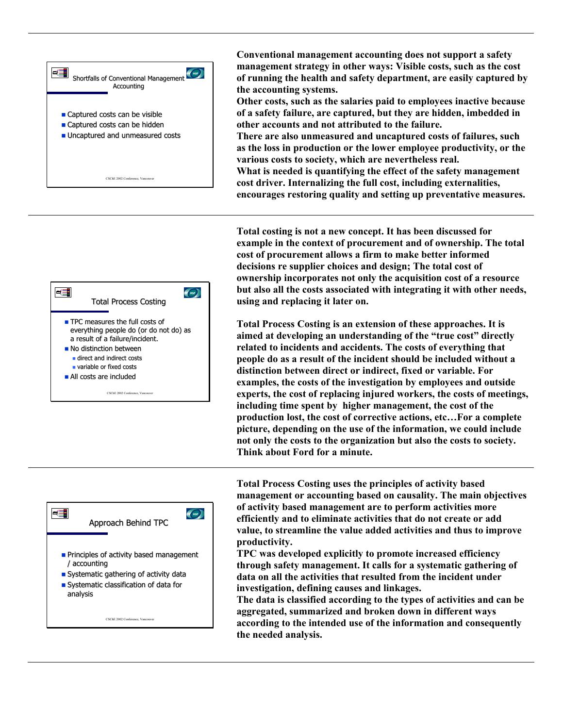

**Conventional management accounting does not support a safety management strategy in other ways: Visible costs, such as the cost of running the health and safety department, are easily captured by the accounting systems.** 

**Other costs, such as the salaries paid to employees inactive because of a safety failure, are captured, but they are hidden, imbedded in other accounts and not attributed to the failure.** 

**There are also unmeasured and uncaptured costs of failures, such as the loss in production or the lower employee productivity, or the various costs to society, which are nevertheless real.** 

**What is needed is quantifying the effect of the safety management cost driver. Internalizing the full cost, including externalities, encourages restoring quality and setting up preventative measures.** 



**Total costing is not a new concept. It has been discussed for example in the context of procurement and of ownership. The total cost of procurement allows a firm to make better informed decisions re supplier choices and design; The total cost of ownership incorporates not only the acquisition cost of a resource but also all the costs associated with integrating it with other needs, using and replacing it later on.** 

**Total Process Costing is an extension of these approaches. It is aimed at developing an understanding of the "true cost" directly related to incidents and accidents. The costs of everything that people do as a result of the incident should be included without a distinction between direct or indirect, fixed or variable. For examples, the costs of the investigation by employees and outside experts, the cost of replacing injured workers, the costs of meetings, including time spent by higher management, the cost of the production lost, the cost of corrective actions, etc…For a complete picture, depending on the use of the information, we could include not only the costs to the organization but also the costs to society. Think about Ford for a minute.**



**Total Process Costing uses the principles of activity based management or accounting based on causality. The main objectives of activity based management are to perform activities more efficiently and to eliminate activities that do not create or add value, to streamline the value added activities and thus to improve productivity.**

**TPC was developed explicitly to promote increased efficiency through safety management. It calls for a systematic gathering of data on all the activities that resulted from the incident under investigation, defining causes and linkages.** 

**The data is classified according to the types of activities and can be aggregated, summarized and broken down in different ways according to the intended use of the information and consequently the needed analysis.**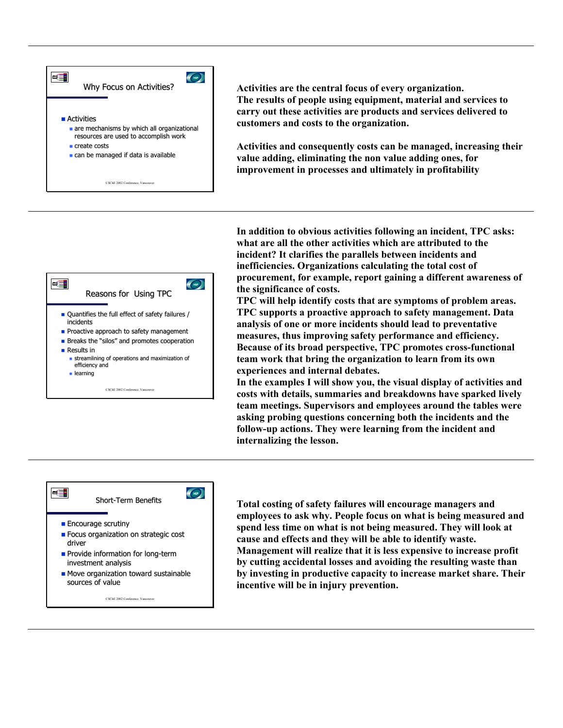

**Activities are the central focus of every organization. The results of people using equipment, material and services to carry out these activities are products and services delivered to customers and costs to the organization.** 

**Activities and consequently costs can be managed, increasing their value adding, eliminating the non value adding ones, for improvement in processes and ultimately in profitability** 



**In addition to obvious activities following an incident, TPC asks: what are all the other activities which are attributed to the incident? It clarifies the parallels between incidents and inefficiencies. Organizations calculating the total cost of procurement, for example, report gaining a different awareness of the significance of costs.** 

**TPC will help identify costs that are symptoms of problem areas. TPC supports a proactive approach to safety management. Data analysis of one or more incidents should lead to preventative measures, thus improving safety performance and efficiency. Because of its broad perspective, TPC promotes cross-functional team work that bring the organization to learn from its own experiences and internal debates.** 

**In the examples I will show you, the visual display of activities and costs with details, summaries and breakdowns have sparked lively team meetings. Supervisors and employees around the tables were asking probing questions concerning both the incidents and the follow-up actions. They were learning from the incident and internalizing the lesson.** 



**Total costing of safety failures will encourage managers and employees to ask why. People focus on what is being measured and spend less time on what is not being measured. They will look at cause and effects and they will be able to identify waste. Management will realize that it is less expensive to increase profit by cutting accidental losses and avoiding the resulting waste than by investing in productive capacity to increase market share. Their incentive will be in injury prevention.**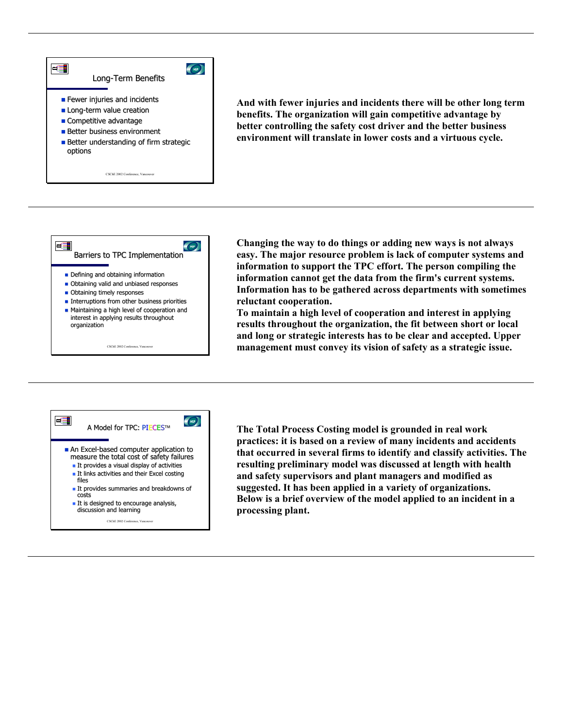

**And with fewer injuries and incidents there will be other long term benefits. The organization will gain competitive advantage by better controlling the safety cost driver and the better business environment will translate in lower costs and a virtuous cycle.** 



**Changing the way to do things or adding new ways is not always easy. The major resource problem is lack of computer systems and information to support the TPC effort. The person compiling the information cannot get the data from the firm's current systems. Information has to be gathered across departments with sometimes reluctant cooperation.** 

**To maintain a high level of cooperation and interest in applying results throughout the organization, the fit between short or local and long or strategic interests has to be clear and accepted. Upper management must convey its vision of safety as a strategic issue.** 



**The Total Process Costing model is grounded in real work practices: it is based on a review of many incidents and accidents that occurred in several firms to identify and classify activities. The resulting preliminary model was discussed at length with health and safety supervisors and plant managers and modified as suggested. It has been applied in a variety of organizations. Below is a brief overview of the model applied to an incident in a processing plant.**